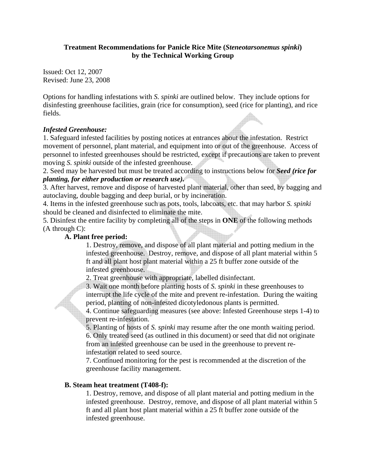### **Treatment Recommendations for Panicle Rice Mite (***Steneotarsonemus spinki***) by the Technical Working Group**

Issued: Oct 12, 2007 Revised: June 23, 2008

Options for handling infestations with *S. spinki* are outlined below. They include options for disinfesting greenhouse facilities, grain (rice for consumption), seed (rice for planting), and rice fields.

# *Infested Greenhouse:*

1. Safeguard infested facilities by posting notices at entrances about the infestation. Restrict movement of personnel, plant material, and equipment into or out of the greenhouse. Access of personnel to infested greenhouses should be restricted, except if precautions are taken to prevent moving *S. spinki* outside of the infested greenhouse.

2. Seed may be harvested but must be treated according to instructions below for *Seed (rice for planting, for either production or research use).*

3. After harvest, remove and dispose of harvested plant material, other than seed, by bagging and autoclaving, double bagging and deep burial, or by incineration.

4. Items in the infested greenhouse such as pots, tools, labcoats, etc. that may harbor *S. spinki* should be cleaned and disinfected to eliminate the mite.

5. Disinfest the entire facility by completing all of the steps in **ONE** of the following methods (A through C):

#### **A. Plant free period:**

1. Destroy, remove, and dispose of all plant material and potting medium in the infested greenhouse. Destroy, remove, and dispose of all plant material within 5 ft and all plant host plant material within a 25 ft buffer zone outside of the infested greenhouse.

2. Treat greenhouse with appropriate, labelled disinfectant.

3. Wait one month before planting hosts of *S. spinki* in these greenhouses to interrupt the life cycle of the mite and prevent re-infestation. During the waiting period, planting of non-infested dicotyledonous plants is permitted.

4. Continue safeguarding measures (see above: Infested Greenhouse steps 1-4) to prevent re-infestation.

5. Planting of hosts of *S. spinki* may resume after the one month waiting period. 6. Only treated seed (as outlined in this document) or seed that did not originate from an infested greenhouse can be used in the greenhouse to prevent reinfestation related to seed source.

7. Continued monitoring for the pest is recommended at the discretion of the greenhouse facility management.

#### **B. Steam heat treatment (T408-f):**

1. Destroy, remove, and dispose of all plant material and potting medium in the infested greenhouse. Destroy, remove, and dispose of all plant material within 5 ft and all plant host plant material within a 25 ft buffer zone outside of the infested greenhouse.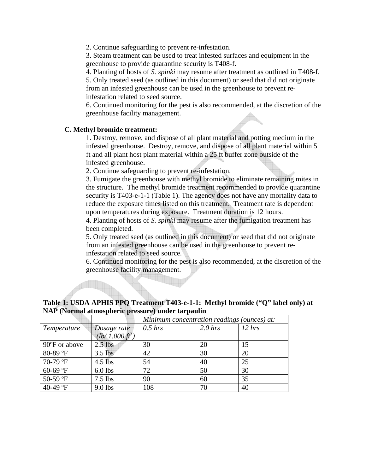2. Continue safeguarding to prevent re-infestation.

3. Steam treatment can be used to treat infested surfaces and equipment in the greenhouse to provide quarantine security is T408-f.

4. Planting of hosts of *S. spinki* may resume after treatment as outlined in T408-f.

5. Only treated seed (as outlined in this document) or seed that did not originate from an infested greenhouse can be used in the greenhouse to prevent reinfestation related to seed source.

6. Continued monitoring for the pest is also recommended, at the discretion of the greenhouse facility management.

# **C. Methyl bromide treatment:**

Ï

1. Destroy, remove, and dispose of all plant material and potting medium in the infested greenhouse. Destroy, remove, and dispose of all plant material within 5 ft and all plant host plant material within a 25 ft buffer zone outside of the infested greenhouse.

2. Continue safeguarding to prevent re-infestation.

3. Fumigate the greenhouse with methyl bromide to eliminate remaining mites in the structure. The methyl bromide treatment recommended to provide quarantine security is T403-e-1-1 (Table 1). The agency does not have any mortality data to reduce the exposure times listed on this treatment. Treatment rate is dependent upon temperatures during exposure. Treatment duration is 12 hours.

4. Planting of hosts of *S. spinki* may resume after the fumigation treatment has been completed.

5. Only treated seed (as outlined in this document) or seed that did not originate from an infested greenhouse can be used in the greenhouse to prevent reinfestation related to seed source.

6. Continued monitoring for the pest is also recommended, at the discretion of the greenhouse facility management.

# **Table 1: USDA APHIS PPQ Treatment T403-e-1-1: Methyl bromide ("Q" label only) at NAP (Normal atmospheric pressure) under tarpaulin**

|               |                           | Minimum concentration readings (ounces) at: |           |        |
|---------------|---------------------------|---------------------------------------------|-----------|--------|
| Temperature   | Dosage rate               | $0.5$ hrs                                   | $2.0$ hrs | 12 hrs |
|               | $(lb/1,000 \text{ ft}^3)$ |                                             |           |        |
| 90°F or above | $2.5$ lbs                 | 30                                          | 20        | 15     |
| 80-89 °F      | $3.5$ lbs                 | 42                                          | 30        | 20     |
| 70-79 °F      | $4.5$ lbs                 | 54                                          | 40        | 25     |
| 60-69 °F      | $6.0$ lbs                 | 72                                          | 50        | 30     |
| 50-59 °F      | $7.5$ lbs                 | 90                                          | 60        | 35     |
| 40-49 °F      | 9.0 lbs                   | 108                                         | 70        | 40     |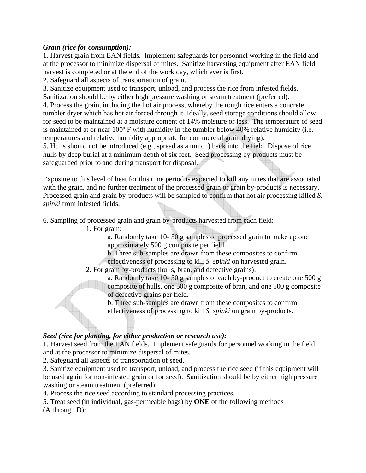### *Grain (rice for consumption):*

1. Harvest grain from EAN fields. Implement safeguards for personnel working in the field and at the processor to minimize dispersal of mites. Sanitize harvesting equipment after EAN field harvest is completed or at the end of the work day, which ever is first.

2. Safeguard all aspects of transportation of grain.

3. Sanitize equipment used to transport, unload, and process the rice from infested fields. Sanitization should be by either high pressure washing or steam treatment (preferred).

4. Process the grain, including the hot air process, whereby the rough rice enters a concrete tumbler dryer which has hot air forced through it. Ideally, seed storage conditions should allow for seed to be maintained at a moisture content of 14% moisture or less. The temperature of seed is maintained at or near 100º F with humidity in the tumbler below 40% relative humidity (i.e. temperatures and relative humidity appropriate for commercial grain drying).

5. Hulls should not be introduced (e.g., spread as a mulch) back into the field. Dispose of rice hulls by deep burial at a minimum depth of six feet. Seed processing by-products must be safeguarded prior to and during transport for disposal.

Exposure to this level of heat for this time period is expected to kill any mites that are associated with the grain, and no further treatment of the processed grain or grain by-products is necessary. Processed grain and grain by-products will be sampled to confirm that hot air processing killed *S. spinki* from infested fields.

6. Sampling of processed grain and grain by-products harvested from each field:

1. For grain:

 a. Randomly take 10- 50 g samples of processed grain to make up one approximately 500 g composite per field.

 b. Three sub-samples are drawn from these composites to confirm effectiveness of processing to kill *S. spinki* on harvested grain.

2. For grain by-products (hulls, bran, and defective grains):

 a. Randomly take 10- 50 g samples of each by-product to create one 500 g composite of hulls, one 500 g composite of bran, and one 500 g composite of defective grains per field.

 b. Three sub-samples are drawn from these composites to confirm effectiveness of processing to kill *S. spinki* on grain by-products.

# *Seed (rice for planting, for either production or research use):*

1. Harvest seed from the EAN fields. Implement safeguards for personnel working in the field and at the processor to minimize dispersal of mites.

2. Safeguard all aspects of transportation of seed.

3. Sanitize equipment used to transport, unload, and process the rice seed (if this equipment will be used again for non-infested grain or for seed). Sanitization should be by either high pressure washing or steam treatment (preferred)

4. Process the rice seed according to standard processing practices.

5. Treat seed (in individual, gas-permeable bags) by **ONE** of the following methods (A through D):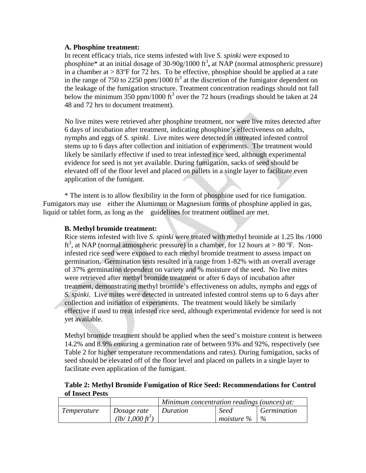#### **A. Phosphine treatment:**

In recent efficacy trials, rice stems infested with live *S. spinki* were exposed to phosphine<sup>\*</sup> at an initial dosage of  $30-90g/1000$  ft<sup>3</sup>, at NAP (normal atmospheric pressure) in a chamber at  $> 83^{\circ}$ F for 72 hrs. To be effective, phosphine should be applied at a rate in the range of 750 to 2250 ppm/1000  $\text{ft}^3$  at the discretion of the fumigator dependent on the leakage of the fumigation structure. Treatment concentration readings should not fall below the minimum 350 ppm/1000  $\text{ft}^3$  over the 72 hours (readings should be taken at 24 48 and 72 hrs to document treatment).

No live mites were retrieved after phosphine treatment, nor were live mites detected after 6 days of incubation after treatment, indicating phosphine's effectiveness on adults, nymphs and eggs of *S. spinki*. Live mites were detected in untreated infested control stems up to 6 days after collection and initiation of experiments. The treatment would likely be similarly effective if used to treat infested rice seed, although experimental evidence for seed is not yet available. During fumigation, sacks of seed should be elevated off of the floor level and placed on pallets in a single layer to facilitate even application of the fumigant.

 \* The intent is to allow flexibility in the form of phosphine used for rice fumigation. Fumigators may use either the Aluminum or Magnesium forms of phosphine applied in gas, liquid or tablet form, as long as the guidelines for treatment outlined are met.

#### **B. Methyl bromide treatment:**

Rice stems infested with live *S. spinki* were treated with methyl bromide at 1.25 lbs /1000 ft<sup>3</sup>, at NAP (normal atmospheric pressure) in a chamber, for 12 hours at > 80 °F. Noninfested rice seed were exposed to each methyl bromide treatment to assess impact on germination. Germination tests resulted in a range from 1-82% with an overall average of 37% germination dependent on variety and % moisture of the seed. No live mites were retrieved after methyl bromide treatment or after 6 days of incubation after treatment, demonstrating methyl bromide's effectiveness on adults, nymphs and eggs of *S. spinki*. Live mites were detected in untreated infested control stems up to 6 days after collection and initiation of experiments. The treatment would likely be similarly effective if used to treat infested rice seed, although experimental evidence for seed is not yet available.

Methyl bromide treatment should be applied when the seed's moisture content is between 14.2% and 8.9% ensuring a germination rate of between 93% and 92%, respectively (see Table 2 for higher temperature recommendations and rates). During fumigation, sacks of seed should be elevated off of the floor level and placed on pallets in a single layer to facilitate even application of the fumigant.

#### **Table 2: Methyl Bromide Fumigation of Rice Seed: Recommendations for Control of Insect Pests**

|             |                           | Minimum concentration readings (ounces) at: |             |                    |
|-------------|---------------------------|---------------------------------------------|-------------|--------------------|
| Temperature | Dosage rate               | Duration                                    | Seed        | <i>Germination</i> |
|             | $(lb/1,000 \text{ ft}^3)$ |                                             | m oisture % | $\%$               |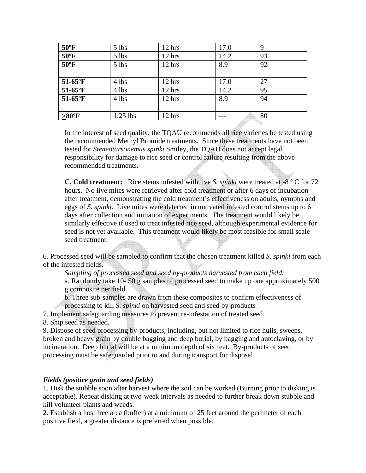| $50^{\circ}$ F  | $5$ lbs    | 12 hrs           | 17.0 | 9  |
|-----------------|------------|------------------|------|----|
| $50^{\circ}$ F  | $5$ lbs    | 12 hrs           | 14.2 | 93 |
| $50^{\circ}$ F  | $5$ lbs    | 12 hrs           | 8.9  | 92 |
|                 |            |                  |      |    |
| $51-65$ °F      | 4 lbs      | 12 hrs           | 17.0 | 27 |
| $51-65$ °F      | 4 lbs      | 12 hrs           | 14.2 | 95 |
| $51-65$ °F      | 4 lbs      | 12 hrs           | 8.9  | 94 |
|                 |            |                  |      |    |
| $>80^{\circ}$ F | $1.25$ lbs | $12 \text{ hrs}$ |      | 80 |

In the interest of seed quality, the TQAU recommends all rice varieties be tested using the recommended Methyl Bromide treatments. Since these treatments have not been tested for *Steneotarsonemus spinki* Smiley, the TQAU does not accept legal responsibility for damage to rice seed or control failure resulting from the above recommended treatments.

**C. Cold treatment:** Rice stems infested with live *S. spinki* were treated at -8 º C for 72 hours. No live mites were retrieved after cold treatment or after 6 days of incubation after treatment, demonstrating the cold treatment's effectiveness on adults, nymphs and eggs of *S. spinki*. Live mites were detected in untreated infested control stems up to 6 days after collection and initiation of experiments. The treatment would likely be similarly effective if used to treat infested rice seed, although experimental evidence for seed is not yet available. This treatment would likely be most feasible for small scale seed treatment.

6. Processed seed will be sampled to confirm that the chosen treatment killed *S. spinki* from each of the infested fields.

*Sampling of processed seed and seed by-products harvested from each field:* 

a. Randomly take 10- 50 g samples of processed seed to make up one approximately 500 g composite per field.

b. Three sub-samples are drawn from these composites to confirm effectiveness of processing to kill *S. spinki* on harvested seed and seed by-products

7. Implement safeguarding measures to prevent re-infestation of treated seed.

8. Ship seed as needed.

9. Dispose of seed processing by-products, including, but not limited to rice hulls, sweeps, broken and heavy grain by double bagging and deep burial, by bagging and autoclaving, or by incineration. Deep burial will be at a minimum depth of six feet. By-products of seed processing must be safeguarded prior to and during transport for disposal.

# *Fields (positive grain and seed fields)*

1. Disk the stubble soon after harvest where the soil can be worked (Burning prior to disking is acceptable). Repeat disking at two-week intervals as needed to further break down stubble and kill volunteer plants and weeds.

2. Establish a host free area (buffer) at a minimum of 25 feet around the perimeter of each positive field, a greater distance is preferred when possible.